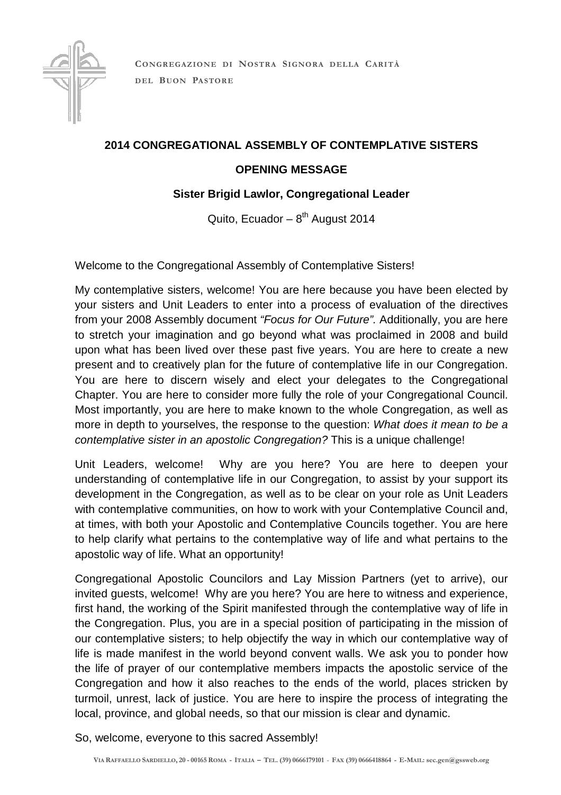

**CONGREGAZION E DI NOSTRA SIGNORA DELLA CARI TÀ DEL BUON PASTORE**

## **2014 CONGREGATIONAL ASSEMBLY OF CONTEMPLATIVE SISTERS**

## **OPENING MESSAGE**

## **Sister Brigid Lawlor, Congregational Leader**

Quito, Ecuador –  $8<sup>th</sup>$  August 2014

Welcome to the Congregational Assembly of Contemplative Sisters!

My contemplative sisters, welcome! You are here because you have been elected by your sisters and Unit Leaders to enter into a process of evaluation of the directives from your 2008 Assembly document "Focus for Our Future". Additionally, you are here to stretch your imagination and go beyond what was proclaimed in 2008 and build upon what has been lived over these past five years. You are here to create a new present and to creatively plan for the future of contemplative life in our Congregation. You are here to discern wisely and elect your delegates to the Congregational Chapter. You are here to consider more fully the role of your Congregational Council. Most importantly, you are here to make known to the whole Congregation, as well as more in depth to yourselves, the response to the question: What does it mean to be a contemplative sister in an apostolic Congregation? This is a unique challenge!

Unit Leaders, welcome! Why are you here? You are here to deepen your understanding of contemplative life in our Congregation, to assist by your support its development in the Congregation, as well as to be clear on your role as Unit Leaders with contemplative communities, on how to work with your Contemplative Council and, at times, with both your Apostolic and Contemplative Councils together. You are here to help clarify what pertains to the contemplative way of life and what pertains to the apostolic way of life. What an opportunity!

Congregational Apostolic Councilors and Lay Mission Partners (yet to arrive), our invited guests, welcome! Why are you here? You are here to witness and experience, first hand, the working of the Spirit manifested through the contemplative way of life in the Congregation. Plus, you are in a special position of participating in the mission of our contemplative sisters; to help objectify the way in which our contemplative way of life is made manifest in the world beyond convent walls. We ask you to ponder how the life of prayer of our contemplative members impacts the apostolic service of the Congregation and how it also reaches to the ends of the world, places stricken by turmoil, unrest, lack of justice. You are here to inspire the process of integrating the local, province, and global needs, so that our mission is clear and dynamic.

So, welcome, everyone to this sacred Assembly!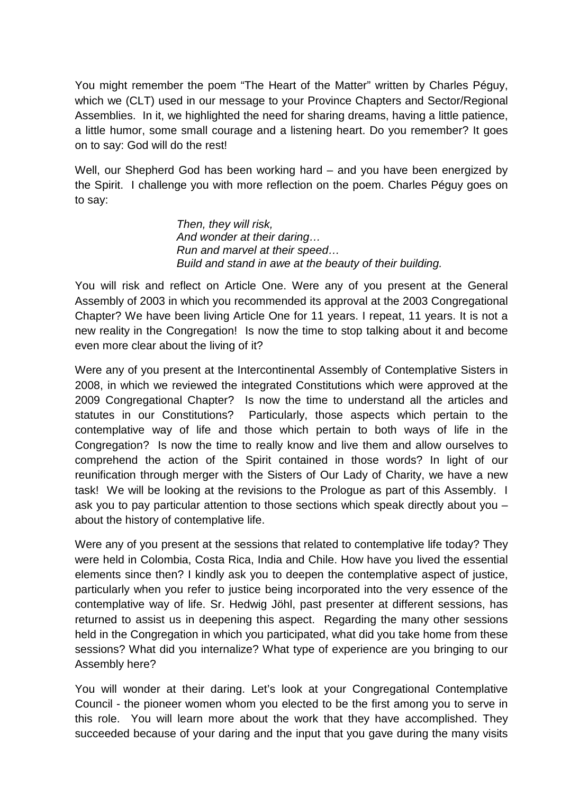You might remember the poem "The Heart of the Matter" written by Charles Péguy, which we (CLT) used in our message to your Province Chapters and Sector/Regional Assemblies. In it, we highlighted the need for sharing dreams, having a little patience, a little humor, some small courage and a listening heart. Do you remember? It goes on to say: God will do the rest!

Well, our Shepherd God has been working hard – and you have been energized by the Spirit. I challenge you with more reflection on the poem. Charles Péguy goes on to say:

> Then, they will risk, And wonder at their daring… Run and marvel at their speed… Build and stand in awe at the beauty of their building.

You will risk and reflect on Article One. Were any of you present at the General Assembly of 2003 in which you recommended its approval at the 2003 Congregational Chapter? We have been living Article One for 11 years. I repeat, 11 years. It is not a new reality in the Congregation! Is now the time to stop talking about it and become even more clear about the living of it?

Were any of you present at the Intercontinental Assembly of Contemplative Sisters in 2008, in which we reviewed the integrated Constitutions which were approved at the 2009 Congregational Chapter? Is now the time to understand all the articles and statutes in our Constitutions? Particularly, those aspects which pertain to the contemplative way of life and those which pertain to both ways of life in the Congregation? Is now the time to really know and live them and allow ourselves to comprehend the action of the Spirit contained in those words? In light of our reunification through merger with the Sisters of Our Lady of Charity, we have a new task! We will be looking at the revisions to the Prologue as part of this Assembly. I ask you to pay particular attention to those sections which speak directly about you – about the history of contemplative life.

Were any of you present at the sessions that related to contemplative life today? They were held in Colombia, Costa Rica, India and Chile. How have you lived the essential elements since then? I kindly ask you to deepen the contemplative aspect of justice, particularly when you refer to justice being incorporated into the very essence of the contemplative way of life. Sr. Hedwig Jöhl, past presenter at different sessions, has returned to assist us in deepening this aspect. Regarding the many other sessions held in the Congregation in which you participated, what did you take home from these sessions? What did you internalize? What type of experience are you bringing to our Assembly here?

You will wonder at their daring. Let's look at your Congregational Contemplative Council - the pioneer women whom you elected to be the first among you to serve in this role. You will learn more about the work that they have accomplished. They succeeded because of your daring and the input that you gave during the many visits